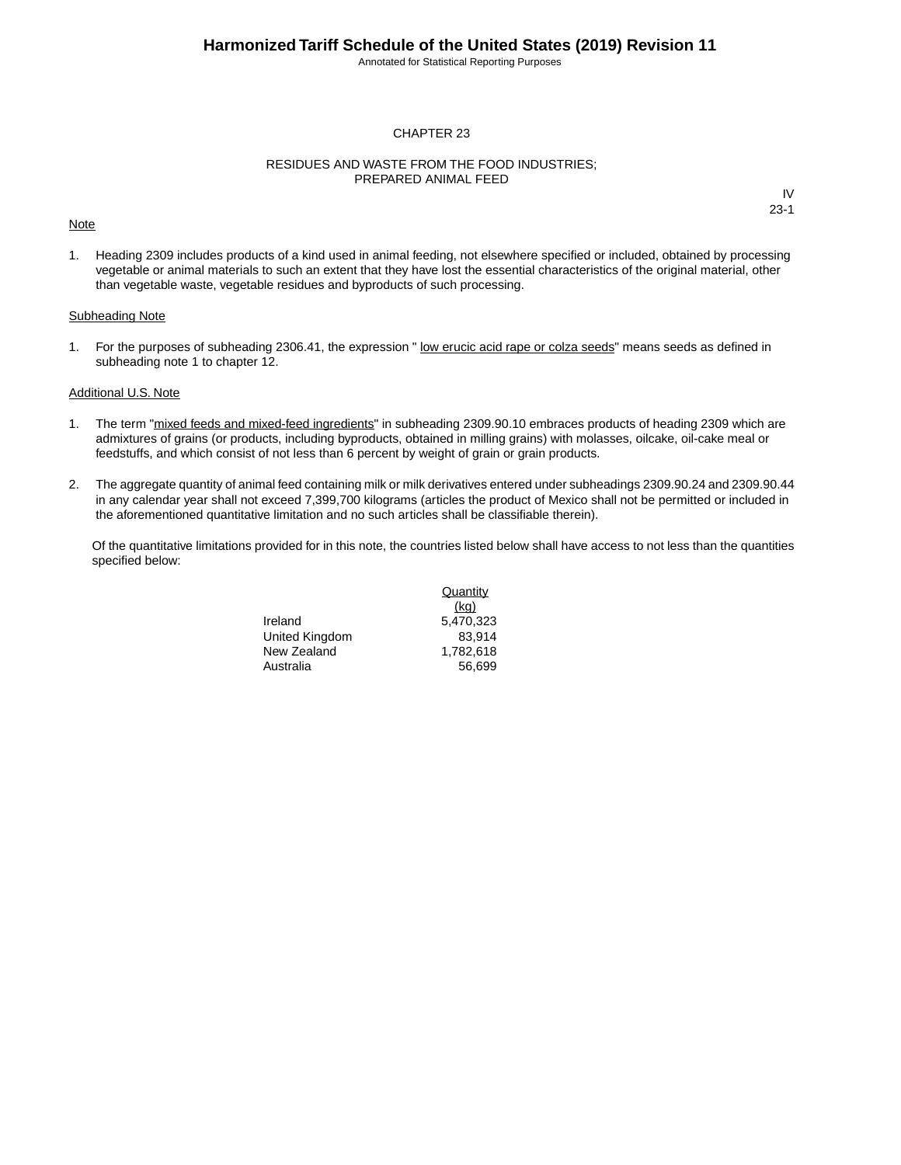Annotated for Statistical Reporting Purposes

### CHAPTER 23

#### RESIDUES AND WASTE FROM THE FOOD INDUSTRIES; PREPARED ANIMAL FEED

#### **Note**

IV 23-1

1. Heading 2309 includes products of a kind used in animal feeding, not elsewhere specified or included, obtained by processing vegetable or animal materials to such an extent that they have lost the essential characteristics of the original material, other than vegetable waste, vegetable residues and byproducts of such processing.

### Subheading Note

1. For the purposes of subheading 2306.41, the expression " low erucic acid rape or colza seeds" means seeds as defined in subheading note 1 to chapter 12.

### Additional U.S. Note

- 1. The term "mixed feeds and mixed-feed ingredients" in subheading 2309.90.10 embraces products of heading 2309 which are admixtures of grains (or products, including byproducts, obtained in milling grains) with molasses, oilcake, oil-cake meal or feedstuffs, and which consist of not less than 6 percent by weight of grain or grain products.
- 2. The aggregate quantity of animal feed containing milk or milk derivatives entered under subheadings 2309.90.24 and 2309.90.44 in any calendar year shall not exceed 7,399,700 kilograms (articles the product of Mexico shall not be permitted or included in the aforementioned quantitative limitation and no such articles shall be classifiable therein).

Of the quantitative limitations provided for in this note, the countries listed below shall have access to not less than the quantities specified below:

> Ireland 5,470,323 United Kingdom 83,914 New Zealand 1,782,618 Australia 56,699

**Quantity** (kg)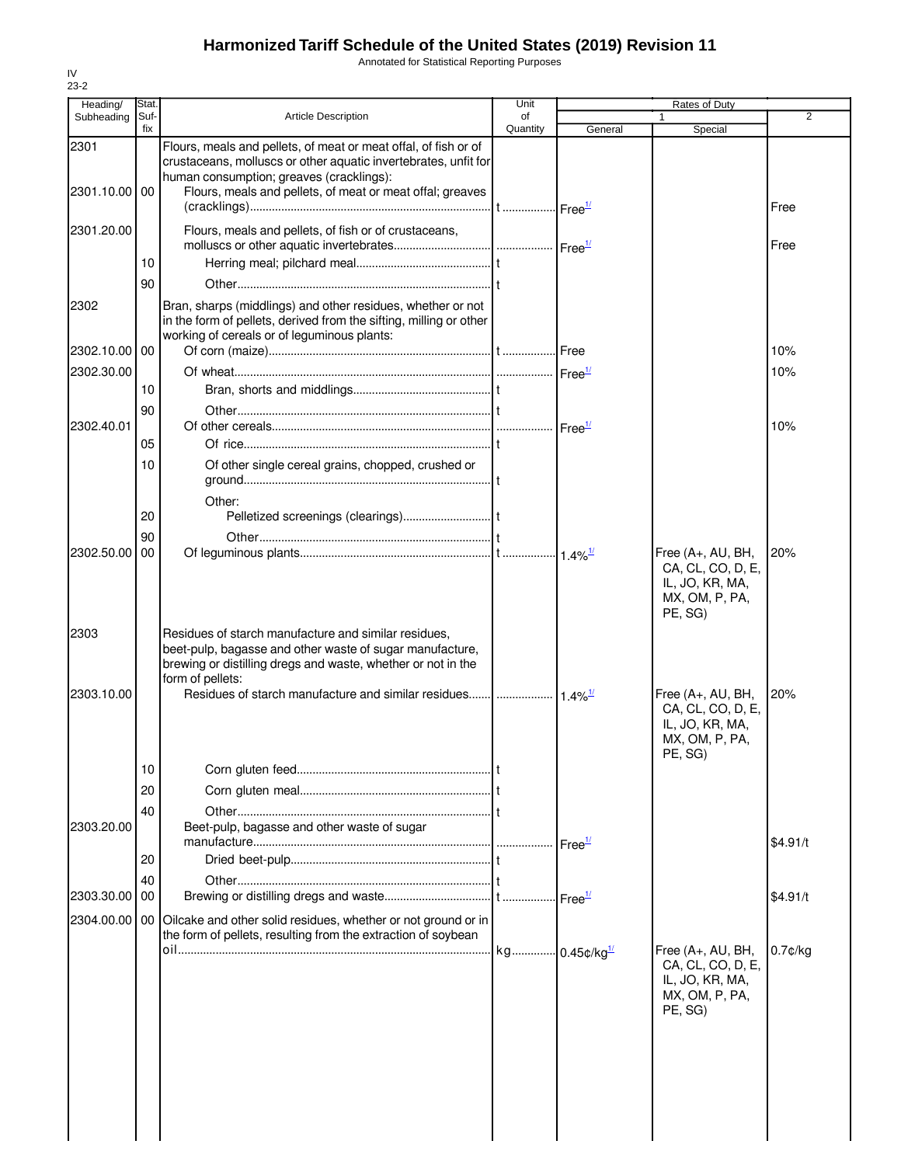Annotated for Statistical Reporting Purposes

| Heading/      | Stat.    |                                                                                                                                                                                                      | Unit     | Rates of Duty      |                                                                                        |                |  |
|---------------|----------|------------------------------------------------------------------------------------------------------------------------------------------------------------------------------------------------------|----------|--------------------|----------------------------------------------------------------------------------------|----------------|--|
| Subheading    | Suf-     | <b>Article Description</b>                                                                                                                                                                           | of       |                    |                                                                                        | $\overline{2}$ |  |
| 2301          | fix      | Flours, meals and pellets, of meat or meat offal, of fish or of<br>crustaceans, molluscs or other aquatic invertebrates, unfit for                                                                   | Quantity | General            | Special                                                                                |                |  |
| 2301.10.00 00 |          | human consumption; greaves (cracklings):<br>Flours, meals and pellets, of meat or meat offal; greaves                                                                                                |          |                    |                                                                                        | Free           |  |
| 2301.20.00    |          | Flours, meals and pellets, of fish or of crustaceans,                                                                                                                                                |          |                    |                                                                                        | Free           |  |
|               | 10       |                                                                                                                                                                                                      |          |                    |                                                                                        |                |  |
| 2302          | 90       | Bran, sharps (middlings) and other residues, whether or not<br>in the form of pellets, derived from the sifting, milling or other<br>working of cereals or of leguminous plants:                     |          |                    |                                                                                        |                |  |
| 2302.10.00 00 |          |                                                                                                                                                                                                      |          |                    |                                                                                        | 10%            |  |
| 2302.30.00    |          |                                                                                                                                                                                                      |          |                    |                                                                                        | 10%            |  |
|               | 10       |                                                                                                                                                                                                      |          |                    |                                                                                        |                |  |
| 2302.40.01    | 90       |                                                                                                                                                                                                      |          |                    |                                                                                        | 10%            |  |
|               | 05       |                                                                                                                                                                                                      |          |                    |                                                                                        |                |  |
|               | 10       | Of other single cereal grains, chopped, crushed or                                                                                                                                                   |          |                    |                                                                                        |                |  |
|               | 20       | Other:                                                                                                                                                                                               |          |                    |                                                                                        |                |  |
|               | 90       |                                                                                                                                                                                                      |          |                    |                                                                                        |                |  |
| 2302.50.00    | 00       |                                                                                                                                                                                                      |          |                    | Free (A+, AU, BH,<br>CA, CL, CO, D, E,<br>IL, JO, KR, MA,<br>MX, OM, P, PA,<br>PE, SG) | 20%            |  |
| 2303          |          | Residues of starch manufacture and similar residues,<br>beet-pulp, bagasse and other waste of sugar manufacture,<br>brewing or distilling dregs and waste, whether or not in the<br>form of pellets: |          |                    |                                                                                        |                |  |
| 2303.10.00    |          |                                                                                                                                                                                                      |          |                    | Free (A+, AU, BH,<br>CA, CL, CO, D, E,<br>IL, JO, KR, MA,<br>MX, OM, P, PA,<br>PE, SG) | 20%            |  |
|               | 10       |                                                                                                                                                                                                      |          |                    |                                                                                        |                |  |
|               | 20       |                                                                                                                                                                                                      |          |                    |                                                                                        |                |  |
| 2303.20.00    | 40       | Beet-pulp, bagasse and other waste of sugar                                                                                                                                                          |          |                    |                                                                                        |                |  |
|               | 20       |                                                                                                                                                                                                      |          | Free <sup>1/</sup> |                                                                                        | \$4.91/t       |  |
| 2303.30.00    | 40<br>00 |                                                                                                                                                                                                      |          |                    |                                                                                        | \$4.91/t       |  |
| 2304.00.00 00 |          | Oilcake and other solid residues, whether or not ground or in<br>the form of pellets, resulting from the extraction of soybean                                                                       |          |                    |                                                                                        |                |  |
|               |          |                                                                                                                                                                                                      |          |                    | Free (A+, AU, BH,<br>CA, CL, CO, D, E,<br>IL, JO, KR, MA,<br>MX, OM, P, PA,<br>PE, SG) | $0.7$ ¢/kg     |  |
|               |          |                                                                                                                                                                                                      |          |                    |                                                                                        |                |  |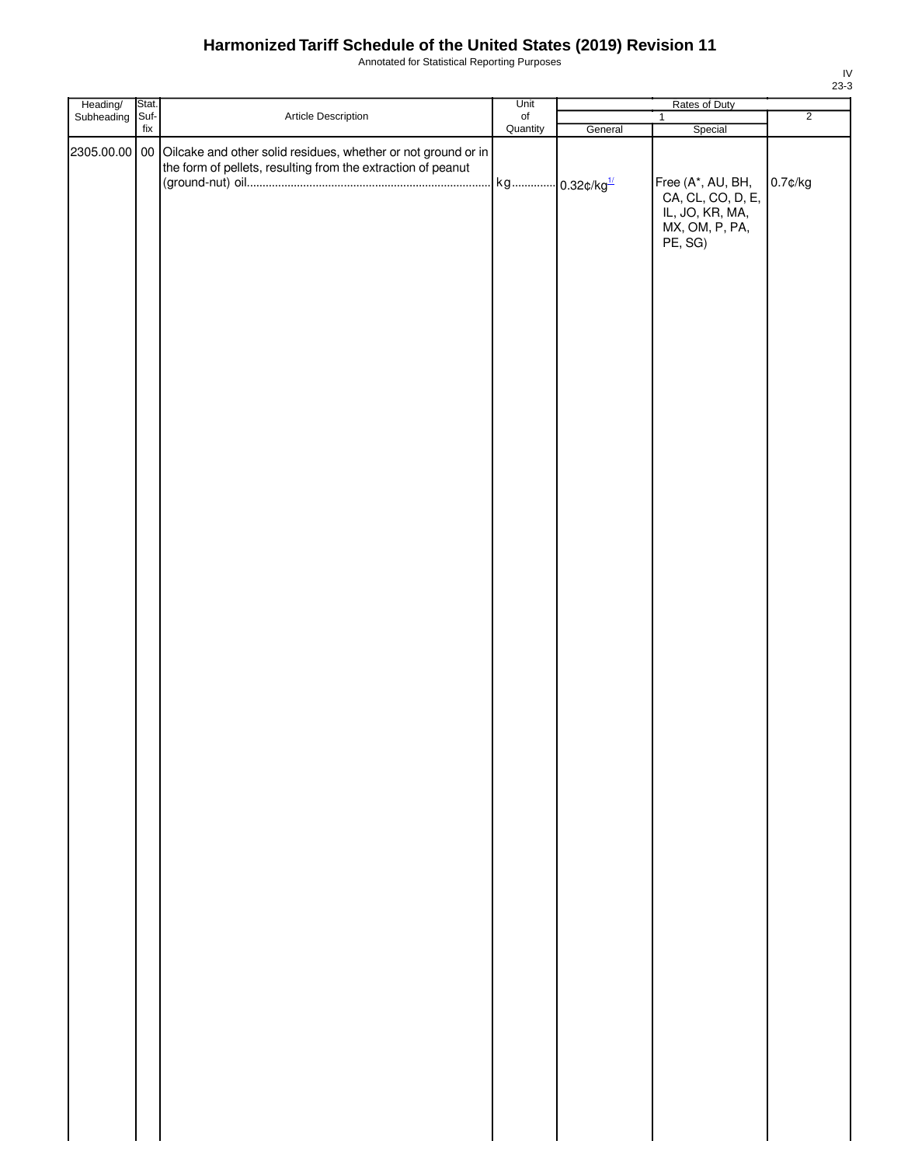Annotated for Statistical Reporting Purposes

| Heading/ Stat.<br>Subheading Suf- |                          |                                                                                                                                             | Unit           | Rates of Duty |                                                                                        |                |
|-----------------------------------|--------------------------|---------------------------------------------------------------------------------------------------------------------------------------------|----------------|---------------|----------------------------------------------------------------------------------------|----------------|
|                                   | $\operatorname{\sf fix}$ | Article Description                                                                                                                         | of<br>Quantity | General       | $\mathbf{1}$<br>Special                                                                | $\overline{2}$ |
|                                   |                          | 2305.00.00 00 Oilcake and other solid residues, whether or not ground or in<br>the form of pellets, resulting from the extraction of peanut |                |               | Free (A*, AU, BH,<br>CA, CL, CO, D, E,<br>IL, JO, KR, MA,<br>MX, OM, P, PA,<br>PE, SG) | $0.7$ ¢/kg     |
|                                   |                          |                                                                                                                                             |                |               |                                                                                        |                |
|                                   |                          |                                                                                                                                             |                |               |                                                                                        |                |
|                                   |                          |                                                                                                                                             |                |               |                                                                                        |                |
|                                   |                          |                                                                                                                                             |                |               |                                                                                        |                |
|                                   |                          |                                                                                                                                             |                |               |                                                                                        |                |
|                                   |                          |                                                                                                                                             |                |               |                                                                                        |                |
|                                   |                          |                                                                                                                                             |                |               |                                                                                        |                |
|                                   |                          |                                                                                                                                             |                |               |                                                                                        |                |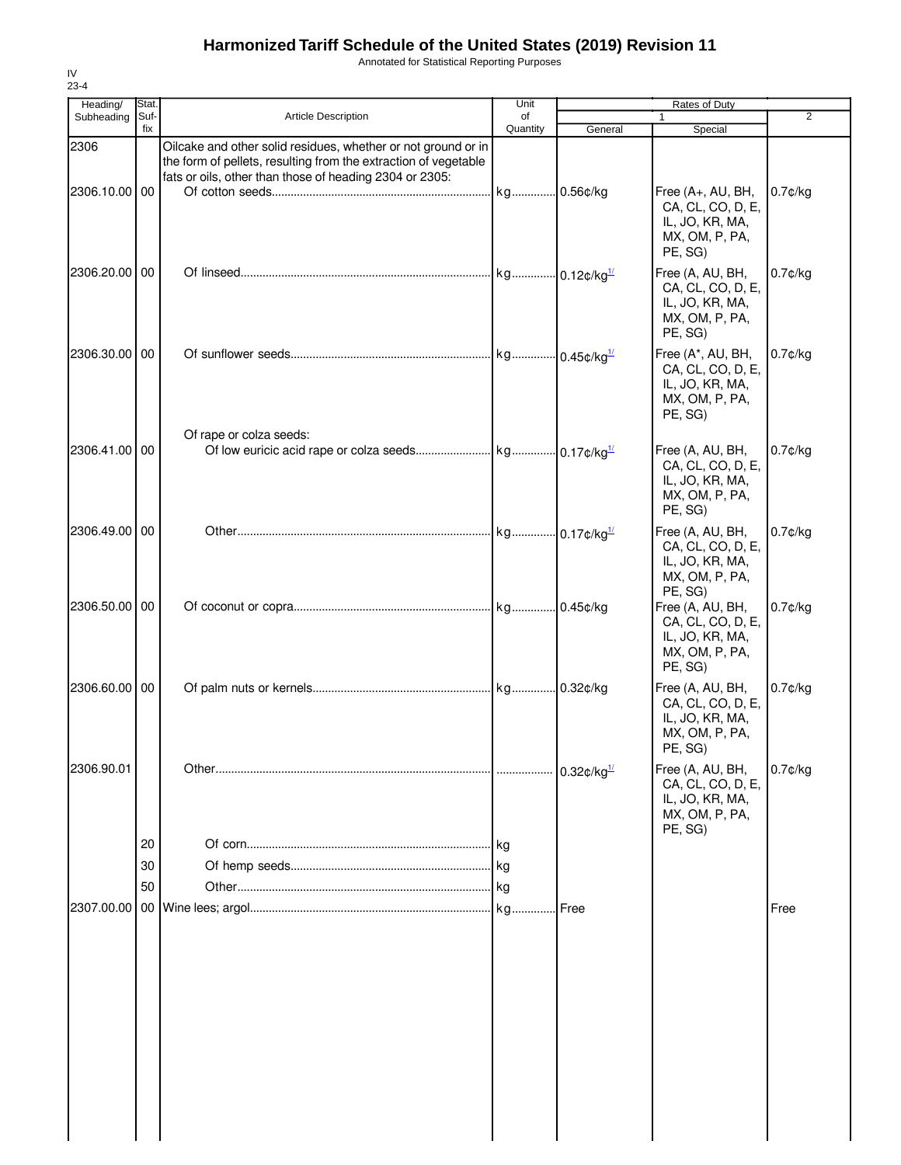Annotated for Statistical Reporting Purposes

| Heading/      | Stat.       |                                                                                                                                                                                             | Unit           |                      | Rates of Duty                                                                          |                |
|---------------|-------------|---------------------------------------------------------------------------------------------------------------------------------------------------------------------------------------------|----------------|----------------------|----------------------------------------------------------------------------------------|----------------|
| Subheading    | Suf-<br>fix | <b>Article Description</b>                                                                                                                                                                  | of<br>Quantity | General              | 1<br>Special                                                                           | $\overline{2}$ |
| 2306          |             | Oilcake and other solid residues, whether or not ground or in<br>the form of pellets, resulting from the extraction of vegetable<br>fats or oils, other than those of heading 2304 or 2305: |                |                      |                                                                                        |                |
| 2306.10.00 00 |             |                                                                                                                                                                                             |                |                      | Free (A+, AU, BH,<br>CA, CL, CO, D, E,<br>IL, JO, KR, MA,<br>MX, OM, P, PA,<br>PE, SG) | $0.7$ ¢/kg     |
| 2306.20.00 00 |             |                                                                                                                                                                                             |                |                      | Free (A, AU, BH,<br>CA, CL, CO, D, E,<br>IL, JO, KR, MA,<br>MX, OM, P, PA,<br>PE, SG)  | $0.7$ ¢/kg     |
| 2306.30.00 00 |             | Of rape or colza seeds:                                                                                                                                                                     |                |                      | Free (A*, AU, BH,<br>CA, CL, CO, D, E,<br>IL, JO, KR, MA,<br>MX, OM, P, PA,<br>PE, SG) | $0.7$ ¢/kg     |
| 2306.41.00 00 |             |                                                                                                                                                                                             |                |                      | Free (A, AU, BH,<br>CA, CL, CO, D, E,<br>IL, JO, KR, MA,<br>MX, OM, P, PA,<br>PE, SG)  | $0.7$ ¢/kg     |
| 2306.49.00 00 |             |                                                                                                                                                                                             |                |                      | Free (A, AU, BH,<br>CA, CL, CO, D, E,<br>IL, JO, KR, MA,<br>MX, OM, P, PA,<br>PE, SG)  | $0.7$ ¢/kg     |
| 2306.50.00 00 |             |                                                                                                                                                                                             |                |                      | Free (A, AU, BH,<br>CA, CL, CO, D, E,<br>IL, JO, KR, MA,<br>MX, OM, P, PA,<br>PE, SG)  | $0.7$ ¢/kg     |
| 2306.60.00 00 |             |                                                                                                                                                                                             |                |                      | Free (A, AU, BH,<br>CA, CL, CO, D, E,<br>IL, JO, KR, MA,<br>MX, OM, P, PA,<br>PE, SG)  | $0.7$ ¢/kg     |
| 2306.90.01    | 20          |                                                                                                                                                                                             |                | $0.32$ ¢/kg $^{1/2}$ | Free (A, AU, BH,<br>CA, CL, CO, D, E,<br>IL, JO, KR, MA,<br>MX, OM, P, PA,<br>PE, SG)  | $0.7$ ¢/kg     |
|               | 30          |                                                                                                                                                                                             |                |                      |                                                                                        |                |
|               | 50          |                                                                                                                                                                                             |                |                      |                                                                                        |                |
| 2307.00.00    |             |                                                                                                                                                                                             |                |                      |                                                                                        | Free           |
|               |             |                                                                                                                                                                                             |                |                      |                                                                                        |                |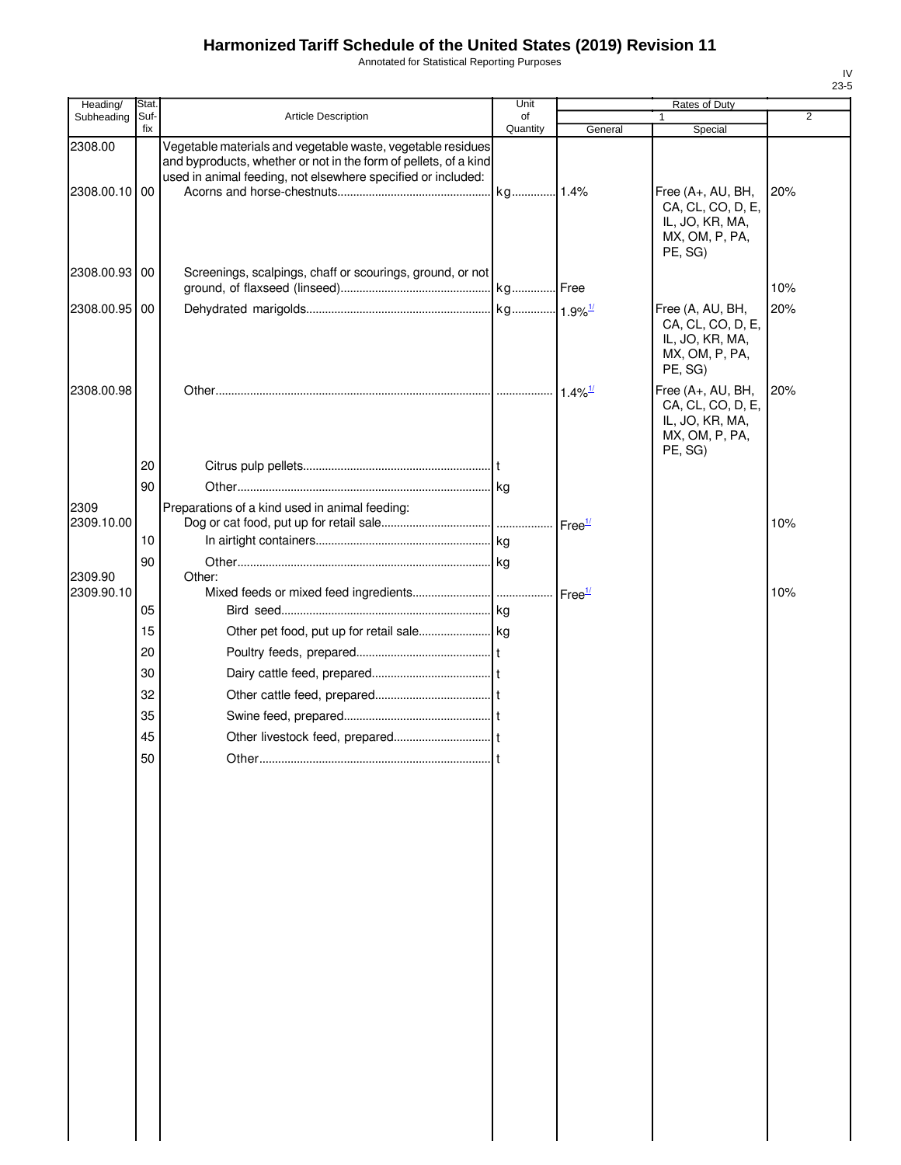Annotated for Statistical Reporting Purposes

| Stat.<br>Heading/  |             |                                                                                                                                                                                                 | Unit           | Rates of Duty        |                                                                                        |                |
|--------------------|-------------|-------------------------------------------------------------------------------------------------------------------------------------------------------------------------------------------------|----------------|----------------------|----------------------------------------------------------------------------------------|----------------|
| Subheading         | Suf-<br>fix | <b>Article Description</b>                                                                                                                                                                      | of<br>Quantity | General              | Special                                                                                | $\overline{2}$ |
| 2308.00            |             | Vegetable materials and vegetable waste, vegetable residues<br>and byproducts, whether or not in the form of pellets, of a kind<br>used in animal feeding, not elsewhere specified or included: |                |                      |                                                                                        |                |
| 2308.00.10 00      |             |                                                                                                                                                                                                 | kg 1.4%        |                      | Free (A+, AU, BH,<br>CA, CL, CO, D, E,<br>IL, JO, KR, MA,<br>MX, OM, P, PA,<br>PE, SG) | 20%            |
| 2308.00.93 00      |             | Screenings, scalpings, chaff or scourings, ground, or not                                                                                                                                       |                |                      |                                                                                        | 10%            |
| 2308.00.95 00      |             |                                                                                                                                                                                                 |                |                      | Free (A, AU, BH,<br>CA, CL, CO, D, E,<br>IL, JO, KR, MA,<br>MX, OM, P, PA,<br>PE, SG)  | 20%            |
| 2308.00.98         |             |                                                                                                                                                                                                 |                |                      | Free (A+, AU, BH,<br>CA, CL, CO, D, E,<br>IL, JO, KR, MA,<br>MX, OM, P, PA,<br>PE, SG) | 20%            |
|                    | 20<br>90    |                                                                                                                                                                                                 |                |                      |                                                                                        |                |
|                    |             |                                                                                                                                                                                                 |                |                      |                                                                                        |                |
| 2309<br>2309.10.00 |             | Preparations of a kind used in animal feeding:                                                                                                                                                  |                |                      |                                                                                        | 10%            |
|                    | 10          |                                                                                                                                                                                                 |                |                      |                                                                                        |                |
| 2309.90            | 90          |                                                                                                                                                                                                 |                |                      |                                                                                        |                |
| 2309.90.10         |             | Other:                                                                                                                                                                                          |                | $Free^{\frac{1}{2}}$ |                                                                                        | 10%            |
|                    | 05          |                                                                                                                                                                                                 |                |                      |                                                                                        |                |
|                    | 15          |                                                                                                                                                                                                 |                |                      |                                                                                        |                |
|                    | 20          |                                                                                                                                                                                                 |                |                      |                                                                                        |                |
|                    | 30          |                                                                                                                                                                                                 |                |                      |                                                                                        |                |
|                    | 32          |                                                                                                                                                                                                 |                |                      |                                                                                        |                |
|                    | 35          |                                                                                                                                                                                                 |                |                      |                                                                                        |                |
|                    | 45          |                                                                                                                                                                                                 |                |                      |                                                                                        |                |
|                    | 50          | Other.                                                                                                                                                                                          |                |                      |                                                                                        |                |
|                    |             |                                                                                                                                                                                                 |                |                      |                                                                                        |                |
|                    |             |                                                                                                                                                                                                 |                |                      |                                                                                        |                |
|                    |             |                                                                                                                                                                                                 |                |                      |                                                                                        |                |
|                    |             |                                                                                                                                                                                                 |                |                      |                                                                                        |                |
|                    |             |                                                                                                                                                                                                 |                |                      |                                                                                        |                |
|                    |             |                                                                                                                                                                                                 |                |                      |                                                                                        |                |
|                    |             |                                                                                                                                                                                                 |                |                      |                                                                                        |                |
|                    |             |                                                                                                                                                                                                 |                |                      |                                                                                        |                |
|                    |             |                                                                                                                                                                                                 |                |                      |                                                                                        |                |
|                    |             |                                                                                                                                                                                                 |                |                      |                                                                                        |                |
|                    |             |                                                                                                                                                                                                 |                |                      |                                                                                        |                |
|                    |             |                                                                                                                                                                                                 |                |                      |                                                                                        |                |
|                    |             |                                                                                                                                                                                                 |                |                      |                                                                                        |                |
|                    |             |                                                                                                                                                                                                 |                |                      |                                                                                        |                |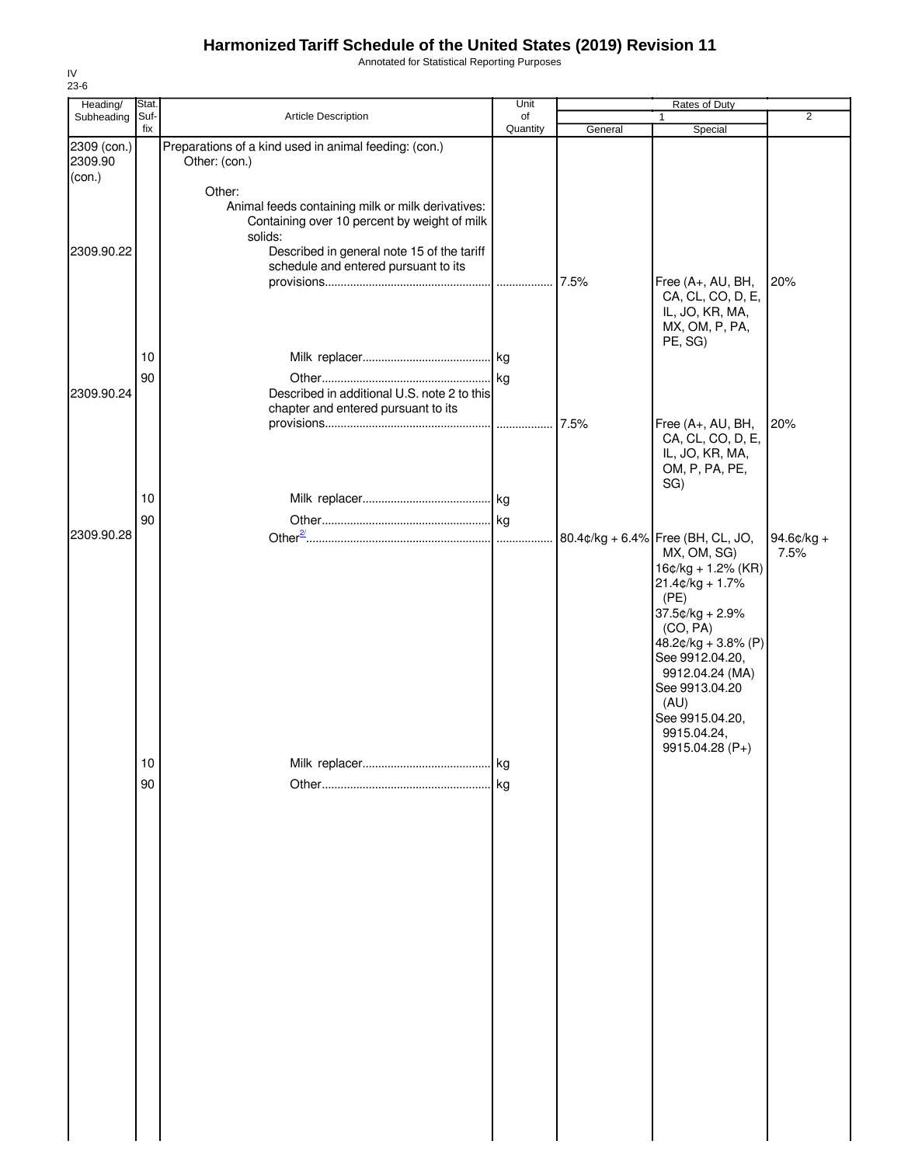Annotated for Statistical Reporting Purposes

| Stat.<br>Heading/<br>Suf-<br>Subheading<br>2309 (con.)<br>2309.90<br>(con.) | fix           | Article Description                                                                               | Unit<br>of |         | Rates of Duty                                                                                 | 2                  |
|-----------------------------------------------------------------------------|---------------|---------------------------------------------------------------------------------------------------|------------|---------|-----------------------------------------------------------------------------------------------|--------------------|
|                                                                             |               |                                                                                                   |            |         |                                                                                               |                    |
|                                                                             |               |                                                                                                   | Quantity   | General | Special                                                                                       |                    |
|                                                                             | Other: (con.) | Preparations of a kind used in animal feeding: (con.)                                             |            |         |                                                                                               |                    |
|                                                                             | Other:        |                                                                                                   |            |         |                                                                                               |                    |
|                                                                             | solids:       | Animal feeds containing milk or milk derivatives:<br>Containing over 10 percent by weight of milk |            |         |                                                                                               |                    |
| 2309.90.22                                                                  |               | Described in general note 15 of the tariff<br>schedule and entered pursuant to its                |            |         |                                                                                               |                    |
|                                                                             |               |                                                                                                   |            | 7.5%    | Free (A+, AU, BH,<br>CA, CL, CO, D, E,<br>IL, JO, KR, MA,                                     | 20%                |
|                                                                             |               |                                                                                                   |            |         | MX, OM, P, PA,<br>PE, SG)                                                                     |                    |
| 10<br>90                                                                    |               |                                                                                                   |            |         |                                                                                               |                    |
| 2309.90.24                                                                  |               | Described in additional U.S. note 2 to this<br>chapter and entered pursuant to its                |            |         |                                                                                               |                    |
|                                                                             |               |                                                                                                   |            | 7.5%    | Free (A+, AU, BH,<br>CA, CL, CO, D, E,                                                        | 20%                |
|                                                                             |               |                                                                                                   |            |         | IL, JO, KR, MA,<br>OM, P, PA, PE,                                                             |                    |
| 10                                                                          |               |                                                                                                   |            |         | SG)                                                                                           |                    |
| 90                                                                          |               |                                                                                                   |            |         |                                                                                               |                    |
| 2309.90.28                                                                  |               |                                                                                                   |            |         | 80.4¢/kg + 6.4% Free (BH, CL, JO,<br>MX, OM, SG)<br>$16¢/kg + 1.2%$ (KR)<br>$21.4¢/kg + 1.7%$ | 94.6¢/kg +<br>7.5% |
|                                                                             |               |                                                                                                   |            |         | (PE)<br>37.5¢/kg + 2.9%<br>(CO, PA)                                                           |                    |
|                                                                             |               |                                                                                                   |            |         | 48.2 $¢$ /kg + 3.8% (P)<br>See 9912.04.20,                                                    |                    |
|                                                                             |               |                                                                                                   |            |         | 9912.04.24 (MA)<br>See 9913.04.20<br>(AU)                                                     |                    |
|                                                                             |               |                                                                                                   |            |         | See 9915.04.20,<br>9915.04.24,                                                                |                    |
| $10$                                                                        |               |                                                                                                   | .lkg       |         | 9915.04.28 (P+)                                                                               |                    |
| 90                                                                          |               |                                                                                                   |            |         |                                                                                               |                    |
|                                                                             |               |                                                                                                   |            |         |                                                                                               |                    |
|                                                                             |               |                                                                                                   |            |         |                                                                                               |                    |
|                                                                             |               |                                                                                                   |            |         |                                                                                               |                    |
|                                                                             |               |                                                                                                   |            |         |                                                                                               |                    |
|                                                                             |               |                                                                                                   |            |         |                                                                                               |                    |
|                                                                             |               |                                                                                                   |            |         |                                                                                               |                    |
|                                                                             |               |                                                                                                   |            |         |                                                                                               |                    |
|                                                                             |               |                                                                                                   |            |         |                                                                                               |                    |
|                                                                             |               |                                                                                                   |            |         |                                                                                               |                    |

IV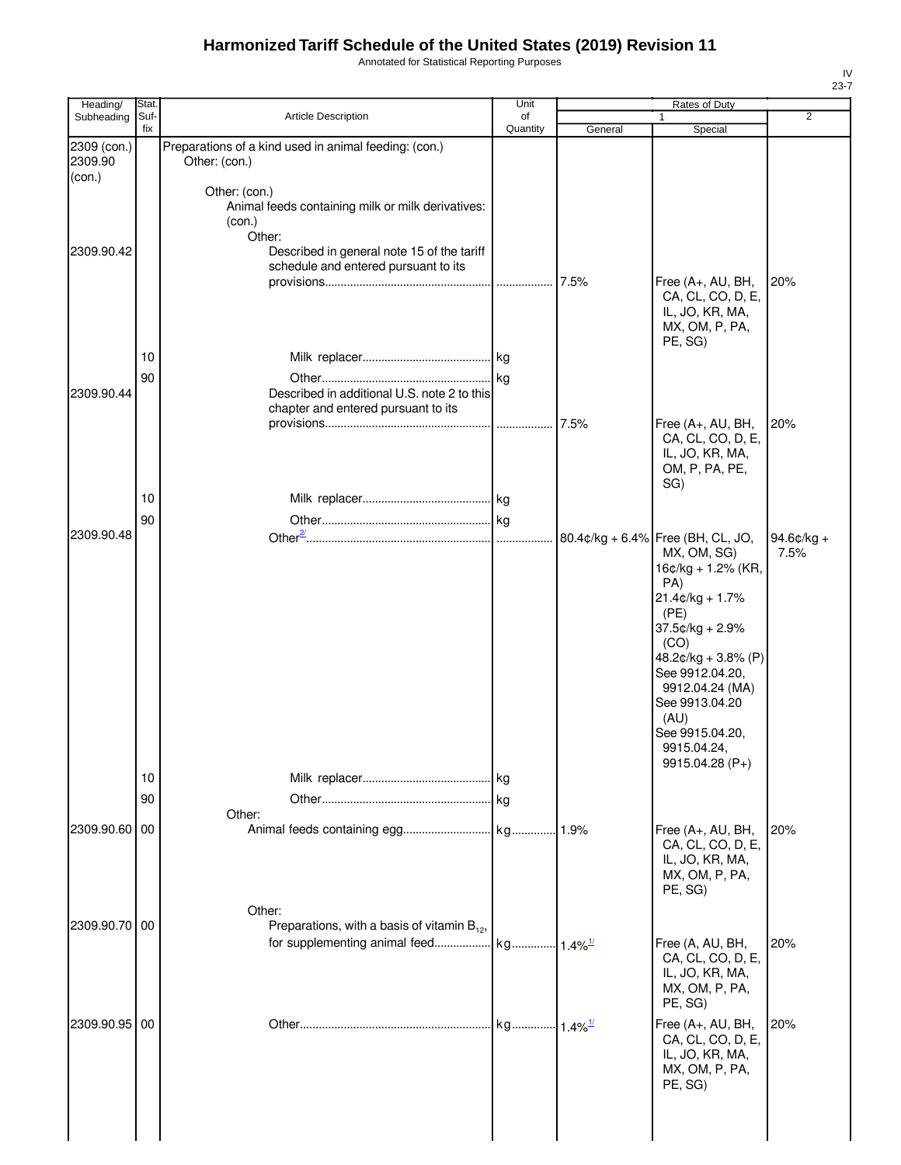Annotated for Statistical Reporting Purposes

| Heading/               | Stat.       |                                                                                        | Unit           |         |                                                                                                                                                                                                                      |                       |
|------------------------|-------------|----------------------------------------------------------------------------------------|----------------|---------|----------------------------------------------------------------------------------------------------------------------------------------------------------------------------------------------------------------------|-----------------------|
| Subheading             | Suf-<br>fix | <b>Article Description</b>                                                             | of<br>Quantity |         | 1                                                                                                                                                                                                                    | $\overline{2}$        |
| 2309 (con.)<br>2309.90 |             | Preparations of a kind used in animal feeding: (con.)<br>Other: (con.)                 |                | General | Special                                                                                                                                                                                                              |                       |
| (con.)                 |             |                                                                                        |                |         |                                                                                                                                                                                                                      |                       |
|                        |             | Other: (con.)<br>Animal feeds containing milk or milk derivatives:<br>(con.)<br>Other: |                |         |                                                                                                                                                                                                                      |                       |
| 2309.90.42             |             | Described in general note 15 of the tariff<br>schedule and entered pursuant to its     |                |         |                                                                                                                                                                                                                      |                       |
|                        |             |                                                                                        | .              | 7.5%    | Free (A+, AU, BH,<br>CA, CL, CO, D, E,<br>IL, JO, KR, MA,<br>MX, OM, P, PA,<br>PE, SG)                                                                                                                               | 20%                   |
|                        | 10          |                                                                                        |                |         |                                                                                                                                                                                                                      |                       |
| 2309.90.44             | 90          | Described in additional U.S. note 2 to this<br>chapter and entered pursuant to its     | .              | 7.5%    | Free (A+, AU, BH,                                                                                                                                                                                                    | 20%                   |
|                        |             |                                                                                        |                |         | CA, CL, CO, D, E,<br>IL, JO, KR, MA,<br>OM, P, PA, PE,<br>SG)                                                                                                                                                        |                       |
|                        | 10          |                                                                                        |                |         |                                                                                                                                                                                                                      |                       |
|                        |             |                                                                                        |                |         |                                                                                                                                                                                                                      |                       |
| 2309.90.48             | 90          |                                                                                        |                |         |                                                                                                                                                                                                                      |                       |
|                        |             |                                                                                        | .              |         | 80.4¢/kg + 6.4% Free (BH, CL, JO,<br>MX, OM, SG)<br>16¢/kg + 1.2% (KR,<br>PA)<br>$21.4¢/kg + 1.7%$<br>(PE)<br>37.5¢/kg + 2.9%<br>(CO)<br>48.2¢/kg + 3.8% (P)<br>See 9912.04.20,<br>9912.04.24 (MA)<br>See 9913.04.20 | $94.6$ ¢/kg +<br>7.5% |
|                        | 10<br>90    | Other:                                                                                 |                |         | (AU)<br>See 9915.04.20,<br>9915.04.24,<br>9915.04.28 (P+)                                                                                                                                                            |                       |
| 2309.90.60             | 00          |                                                                                        |                | 1.9%    | Free (A+, AU, BH,                                                                                                                                                                                                    | 20%                   |
|                        |             |                                                                                        |                |         | CA, CL, CO, D, E,<br>IL, JO, KR, MA,<br>MX, OM, P, PA,<br>PE, SG)                                                                                                                                                    |                       |
|                        |             | Other:                                                                                 |                |         |                                                                                                                                                                                                                      |                       |
| 2309.90.70 00          |             | Preparations, with a basis of vitamin $B_{12}$ ,                                       |                |         |                                                                                                                                                                                                                      |                       |
|                        |             |                                                                                        |                |         | Free (A, AU, BH,<br>CA, CL, CO, D, E,<br>IL, JO, KR, MA,<br>MX, OM, P, PA,<br>PE, SG)                                                                                                                                | 20%                   |
| 2309.90.95 00          |             |                                                                                        |                |         | Free (A+, AU, BH,<br>CA, CL, CO, D, E,<br>IL, JO, KR, MA,<br>MX, OM, P, PA,<br>PE, SG)                                                                                                                               | 20%                   |
|                        |             |                                                                                        |                |         |                                                                                                                                                                                                                      |                       |